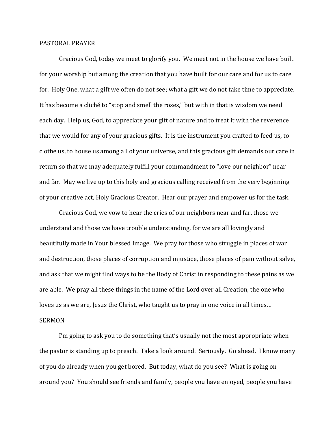## PASTORAL PRAYER

Gracious God, today we meet to glorify you. We meet not in the house we have built for your worship but among the creation that you have built for our care and for us to care for. Holy One, what a gift we often do not see; what a gift we do not take time to appreciate. It has become a cliché to "stop and smell the roses," but with in that is wisdom we need each day. Help us, God, to appreciate your gift of nature and to treat it with the reverence that we would for any of your gracious gifts. It is the instrument you crafted to feed us, to clothe us, to house us among all of your universe, and this gracious gift demands our care in return so that we may adequately fulfill your commandment to "love our neighbor" near and far. May we live up to this holy and gracious calling received from the very beginning of your creative act, Holy Gracious Creator. Hear our prayer and empower us for the task.

Gracious God, we vow to hear the cries of our neighbors near and far, those we understand and those we have trouble understanding, for we are all lovingly and beautifully made in Your blessed Image. We pray for those who struggle in places of war and destruction, those places of corruption and injustice, those places of pain without salve, and ask that we might find ways to be the Body of Christ in responding to these pains as we are able. We pray all these things in the name of the Lord over all Creation, the one who loves us as we are, Jesus the Christ, who taught us to pray in one voice in all times… SERMON

I'm going to ask you to do something that's usually not the most appropriate when the pastor is standing up to preach. Take a look around. Seriously. Go ahead. I know many of you do already when you get bored. But today, what do you see? What is going on around you? You should see friends and family, people you have enjoyed, people you have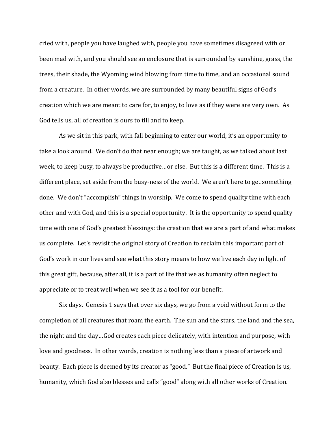cried with, people you have laughed with, people you have sometimes disagreed with or been mad with, and you should see an enclosure that is surrounded by sunshine, grass, the trees, their shade, the Wyoming wind blowing from time to time, and an occasional sound from a creature. In other words, we are surrounded by many beautiful signs of God's creation which we are meant to care for, to enjoy, to love as if they were are very own. As God tells us, all of creation is ours to till and to keep.

As we sit in this park, with fall beginning to enter our world, it's an opportunity to take a look around. We don't do that near enough; we are taught, as we talked about last week, to keep busy, to always be productive…or else. But this is a different time. This is a different place, set aside from the busy-ness of the world. We aren't here to get something done. We don't "accomplish" things in worship. We come to spend quality time with each other and with God, and this is a special opportunity. It is the opportunity to spend quality time with one of God's greatest blessings: the creation that we are a part of and what makes us complete. Let's revisit the original story of Creation to reclaim this important part of God's work in our lives and see what this story means to how we live each day in light of this great gift, because, after all, it is a part of life that we as humanity often neglect to appreciate or to treat well when we see it as a tool for our benefit.

Six days. Genesis 1 says that over six days, we go from a void without form to the completion of all creatures that roam the earth. The sun and the stars, the land and the sea, the night and the day…God creates each piece delicately, with intention and purpose, with love and goodness. In other words, creation is nothing less than a piece of artwork and beauty. Each piece is deemed by its creator as "good." But the final piece of Creation is us, humanity, which God also blesses and calls "good" along with all other works of Creation.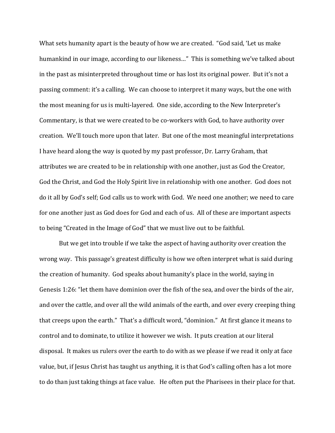What sets humanity apart is the beauty of how we are created. "God said, 'Let us make humankind in our image, according to our likeness…" This is something we've talked about in the past as misinterpreted throughout time or has lost its original power. But it's not a passing comment: it's a calling. We can choose to interpret it many ways, but the one with the most meaning for us is multi-layered. One side, according to the New Interpreter's Commentary, is that we were created to be co-workers with God, to have authority over creation. We'll touch more upon that later. But one of the most meaningful interpretations I have heard along the way is quoted by my past professor, Dr. Larry Graham, that attributes we are created to be in relationship with one another, just as God the Creator, God the Christ, and God the Holy Spirit live in relationship with one another. God does not do it all by God's self; God calls us to work with God. We need one another; we need to care for one another just as God does for God and each of us. All of these are important aspects to being "Created in the Image of God" that we must live out to be faithful.

But we get into trouble if we take the aspect of having authority over creation the wrong way. This passage's greatest difficulty is how we often interpret what is said during the creation of humanity. God speaks about humanity's place in the world, saying in Genesis 1:26: "let them have dominion over the fish of the sea, and over the birds of the air, and over the cattle, and over all the wild animals of the earth, and over every creeping thing that creeps upon the earth." That's a difficult word, "dominion." At first glance it means to control and to dominate, to utilize it however we wish. It puts creation at our literal disposal. It makes us rulers over the earth to do with as we please if we read it only at face value, but, if Jesus Christ has taught us anything, it is that God's calling often has a lot more to do than just taking things at face value. He often put the Pharisees in their place for that.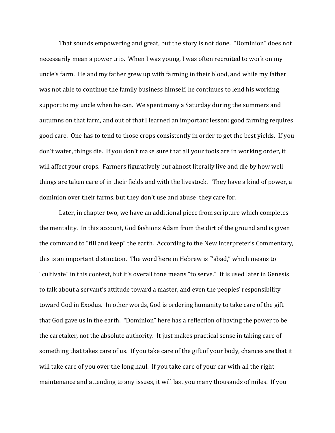That sounds empowering and great, but the story is not done. "Dominion" does not necessarily mean a power trip. When I was young, I was often recruited to work on my uncle's farm. He and my father grew up with farming in their blood, and while my father was not able to continue the family business himself, he continues to lend his working support to my uncle when he can. We spent many a Saturday during the summers and autumns on that farm, and out of that I learned an important lesson: good farming requires good care. One has to tend to those crops consistently in order to get the best yields. If you don't water, things die. If you don't make sure that all your tools are in working order, it will affect your crops. Farmers figuratively but almost literally live and die by how well things are taken care of in their fields and with the livestock. They have a kind of power, a dominion over their farms, but they don't use and abuse; they care for.

Later, in chapter two, we have an additional piece from scripture which completes the mentality. In this account, God fashions Adam from the dirt of the ground and is given the command to "till and keep" the earth. According to the New Interpreter's Commentary, this is an important distinction. The word here in Hebrew is "'abad," which means to "cultivate" in this context, but it's overall tone means "to serve." It is used later in Genesis to talk about a servant's attitude toward a master, and even the peoples' responsibility toward God in Exodus. In other words, God is ordering humanity to take care of the gift that God gave us in the earth. "Dominion" here has a reflection of having the power to be the caretaker, not the absolute authority. It just makes practical sense in taking care of something that takes care of us. If you take care of the gift of your body, chances are that it will take care of you over the long haul. If you take care of your car with all the right maintenance and attending to any issues, it will last you many thousands of miles. If you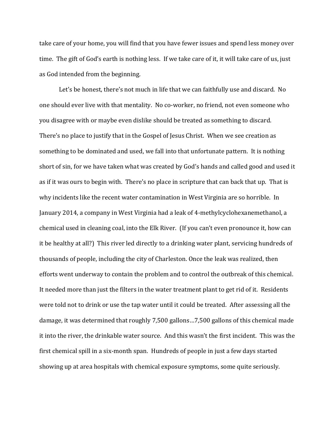take care of your home, you will find that you have fewer issues and spend less money over time. The gift of God's earth is nothing less. If we take care of it, it will take care of us, just as God intended from the beginning.

Let's be honest, there's not much in life that we can faithfully use and discard. No one should ever live with that mentality. No co-worker, no friend, not even someone who you disagree with or maybe even dislike should be treated as something to discard. There's no place to justify that in the Gospel of Jesus Christ. When we see creation as something to be dominated and used, we fall into that unfortunate pattern. It is nothing short of sin, for we have taken what was created by God's hands and called good and used it as if it was ours to begin with. There's no place in scripture that can back that up. That is why incidents like the recent water contamination in West Virginia are so horrible. In January 2014, a company in West Virginia had a leak of 4-methylcyclohexanemethanol, a chemical used in cleaning coal, into the Elk River. (If you can't even pronounce it, how can it be healthy at all?) This river led directly to a drinking water plant, servicing hundreds of thousands of people, including the city of Charleston. Once the leak was realized, then efforts went underway to contain the problem and to control the outbreak of this chemical. It needed more than just the filters in the water treatment plant to get rid of it. Residents were told not to drink or use the tap water until it could be treated. After assessing all the damage, it was determined that roughly 7,500 gallons…7,500 gallons of this chemical made it into the river, the drinkable water source. And this wasn't the first incident. This was the first chemical spill in a six-month span. Hundreds of people in just a few days started showing up at area hospitals with chemical exposure symptoms, some quite seriously.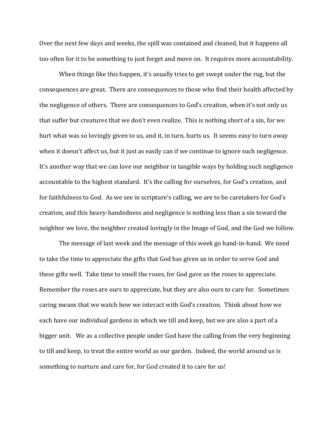Over the next few days and weeks, the spill was contained and cleaned, but it happens all too often for it to be something to just forget and move on. It requires more accountability.

When things like this happen, it's usually tries to get swept under the rug, but the consequences are great. There are consequences to those who find their health affected by the negligence of others. There are consequences to God's creation, when it's not only us that suffer but creatures that we don't even realize. This is nothing short of a sin, for we hurt what was so lovingly given to us, and it, in turn, hurts us. It seems easy to turn away when it doesn't affect us, but it just as easily can if we continue to ignore such negligence. It's another way that we can love our neighbor in tangible ways by holding such negligence accountable to the highest standard. It's the calling for ourselves, for God's creation, and for faithfulness to God. As we see in scripture's calling, we are to be caretakers for God's creation, and this heavy-handedness and negligence is nothing less than a sin toward the neighbor we love, the neighbor created lovingly in the Image of God, and the God we follow.

The message of last week and the message of this week go hand-in-hand. We need to take the time to appreciate the gifts that God has given us in order to serve God and these gifts well. Take time to smell the roses, for God gave us the roses to appreciate. Remember the roses are ours to appreciate, but they are also ours to care for. Sometimes caring means that we watch how we interact with God's creation. Think about how we each have our individual gardens in which we till and keep, but we are also a part of a bigger unit. We as a collective people under God have the calling from the very beginning to till and keep, to treat the entire world as our garden. Indeed, the world around us is something to nurture and care for, for God created it to care for us!